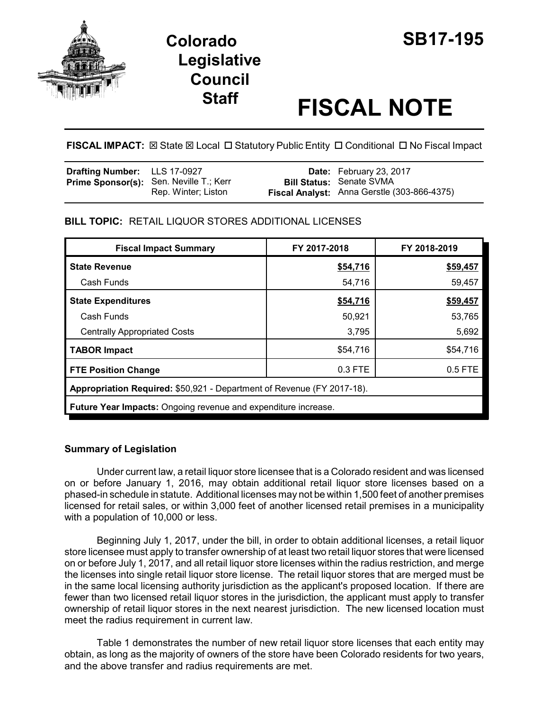

# **Colorado SB17-195 Legislative Council**

# **Staff FISCAL NOTE**

FISCAL IMPACT:  $\boxtimes$  State  $\boxtimes$  Local  $\Box$  Statutory Public Entity  $\Box$  Conditional  $\Box$  No Fiscal Impact

| Drafting Number: LLS 17-0927 |                                                                       | <b>Date:</b> February 23, 2017                                                 |
|------------------------------|-----------------------------------------------------------------------|--------------------------------------------------------------------------------|
|                              | <b>Prime Sponsor(s):</b> Sen. Neville T.; Kerr<br>Rep. Winter; Liston | <b>Bill Status: Senate SVMA</b><br>Fiscal Analyst: Anna Gerstle (303-866-4375) |

# **BILL TOPIC:** RETAIL LIQUOR STORES ADDITIONAL LICENSES

| <b>Fiscal Impact Summary</b>                                           | FY 2017-2018 | FY 2018-2019 |  |
|------------------------------------------------------------------------|--------------|--------------|--|
| <b>State Revenue</b>                                                   | \$54,716     | \$59,457     |  |
| Cash Funds                                                             | 54,716       | 59,457       |  |
| <b>State Expenditures</b>                                              | \$54,716     | \$59,457     |  |
| Cash Funds                                                             | 50,921       | 53,765       |  |
| <b>Centrally Appropriated Costs</b>                                    | 3,795        | 5,692        |  |
| <b>TABOR Impact</b>                                                    | \$54,716     | \$54,716     |  |
| <b>FTE Position Change</b>                                             | 0.3 FTE      | $0.5$ FTE    |  |
| Appropriation Required: \$50,921 - Department of Revenue (FY 2017-18). |              |              |  |
| <b>Future Year Impacts:</b> Ongoing revenue and expenditure increase.  |              |              |  |

# **Summary of Legislation**

Under current law, a retail liquor store licensee that is a Colorado resident and was licensed on or before January 1, 2016, may obtain additional retail liquor store licenses based on a phased-in schedule in statute. Additional licenses may not be within 1,500 feet of another premises licensed for retail sales, or within 3,000 feet of another licensed retail premises in a municipality with a population of 10,000 or less.

Beginning July 1, 2017, under the bill, in order to obtain additional licenses, a retail liquor store licensee must apply to transfer ownership of at least two retail liquor stores that were licensed on or before July 1, 2017, and all retail liquor store licenses within the radius restriction, and merge the licenses into single retail liquor store license. The retail liquor stores that are merged must be in the same local licensing authority jurisdiction as the applicant's proposed location. If there are fewer than two licensed retail liquor stores in the jurisdiction, the applicant must apply to transfer ownership of retail liquor stores in the next nearest jurisdiction. The new licensed location must meet the radius requirement in current law.

Table 1 demonstrates the number of new retail liquor store licenses that each entity may obtain, as long as the majority of owners of the store have been Colorado residents for two years, and the above transfer and radius requirements are met.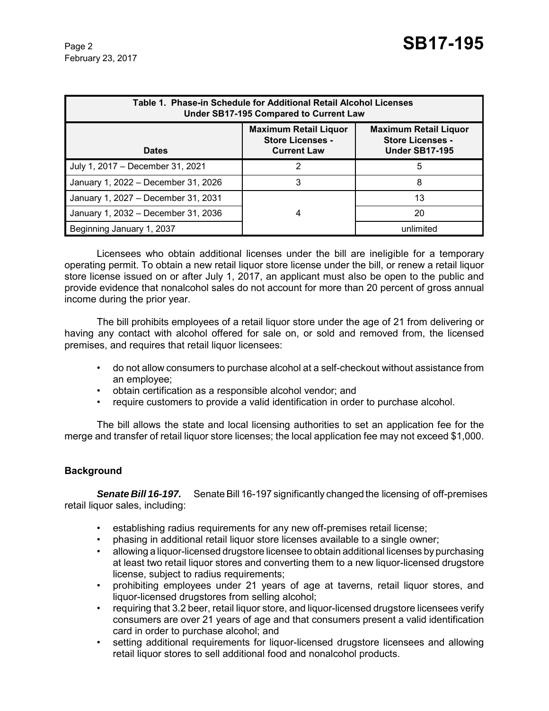February 23, 2017

| Table 1. Phase-in Schedule for Additional Retail Alcohol Licenses<br>Under SB17-195 Compared to Current Law |                                                                               |                                                                                  |  |
|-------------------------------------------------------------------------------------------------------------|-------------------------------------------------------------------------------|----------------------------------------------------------------------------------|--|
| <b>Dates</b>                                                                                                | <b>Maximum Retail Liquor</b><br><b>Store Licenses -</b><br><b>Current Law</b> | <b>Maximum Retail Liquor</b><br><b>Store Licenses -</b><br><b>Under SB17-195</b> |  |
| July 1, 2017 - December 31, 2021                                                                            | 2                                                                             | 5                                                                                |  |
| January 1, 2022 - December 31, 2026                                                                         | 3                                                                             | 8                                                                                |  |
| January 1, 2027 - December 31, 2031                                                                         |                                                                               | 13                                                                               |  |
| January 1, 2032 - December 31, 2036                                                                         | 4                                                                             | 20                                                                               |  |
| Beginning January 1, 2037                                                                                   |                                                                               | unlimited                                                                        |  |

Licensees who obtain additional licenses under the bill are ineligible for a temporary operating permit. To obtain a new retail liquor store license under the bill, or renew a retail liquor store license issued on or after July 1, 2017, an applicant must also be open to the public and provide evidence that nonalcohol sales do not account for more than 20 percent of gross annual income during the prior year.

The bill prohibits employees of a retail liquor store under the age of 21 from delivering or having any contact with alcohol offered for sale on, or sold and removed from, the licensed premises, and requires that retail liquor licensees:

- do not allow consumers to purchase alcohol at a self-checkout without assistance from an employee;
- obtain certification as a responsible alcohol vendor; and
- require customers to provide a valid identification in order to purchase alcohol.

The bill allows the state and local licensing authorities to set an application fee for the merge and transfer of retail liquor store licenses; the local application fee may not exceed \$1,000.

# **Background**

*Senate Bill 16-197.* Senate Bill 16-197 significantly changed the licensing of off-premises retail liquor sales, including:

- establishing radius requirements for any new off-premises retail license;
- phasing in additional retail liquor store licenses available to a single owner;
- allowing a liquor-licensed drugstore licensee to obtain additional licenses by purchasing at least two retail liquor stores and converting them to a new liquor-licensed drugstore license, subject to radius requirements;
- prohibiting employees under 21 years of age at taverns, retail liquor stores, and liquor-licensed drugstores from selling alcohol;
- requiring that 3.2 beer, retail liquor store, and liquor-licensed drugstore licensees verify consumers are over 21 years of age and that consumers present a valid identification card in order to purchase alcohol; and
- setting additional requirements for liquor-licensed drugstore licensees and allowing retail liquor stores to sell additional food and nonalcohol products.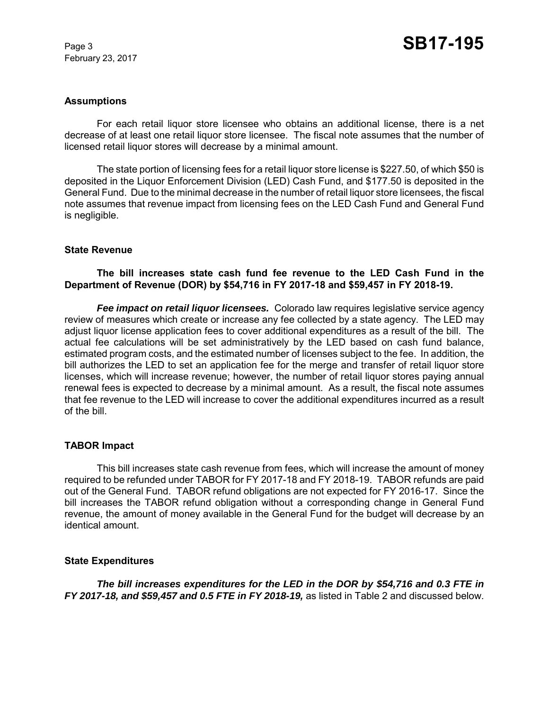February 23, 2017

#### **Assumptions**

For each retail liquor store licensee who obtains an additional license, there is a net decrease of at least one retail liquor store licensee. The fiscal note assumes that the number of licensed retail liquor stores will decrease by a minimal amount.

The state portion of licensing fees for a retail liquor store license is \$227.50, of which \$50 is deposited in the Liquor Enforcement Division (LED) Cash Fund, and \$177.50 is deposited in the General Fund. Due to the minimal decrease in the number of retail liquor store licensees, the fiscal note assumes that revenue impact from licensing fees on the LED Cash Fund and General Fund is negligible.

#### **State Revenue**

### **The bill increases state cash fund fee revenue to the LED Cash Fund in the Department of Revenue (DOR) by \$54,716 in FY 2017-18 and \$59,457 in FY 2018-19.**

*Fee impact on retail liquor licensees.* Colorado law requires legislative service agency review of measures which create or increase any fee collected by a state agency. The LED may adjust liquor license application fees to cover additional expenditures as a result of the bill. The actual fee calculations will be set administratively by the LED based on cash fund balance, estimated program costs, and the estimated number of licenses subject to the fee. In addition, the bill authorizes the LED to set an application fee for the merge and transfer of retail liquor store licenses, which will increase revenue; however, the number of retail liquor stores paying annual renewal fees is expected to decrease by a minimal amount. As a result, the fiscal note assumes that fee revenue to the LED will increase to cover the additional expenditures incurred as a result of the bill.

#### **TABOR Impact**

This bill increases state cash revenue from fees, which will increase the amount of money required to be refunded under TABOR for FY 2017-18 and FY 2018-19. TABOR refunds are paid out of the General Fund. TABOR refund obligations are not expected for FY 2016-17. Since the bill increases the TABOR refund obligation without a corresponding change in General Fund revenue, the amount of money available in the General Fund for the budget will decrease by an identical amount.

#### **State Expenditures**

*The bill increases expenditures for the LED in the DOR by \$54,716 and 0.3 FTE in FY 2017-18, and \$59,457 and 0.5 FTE in FY 2018-19,* as listed in Table 2 and discussed below.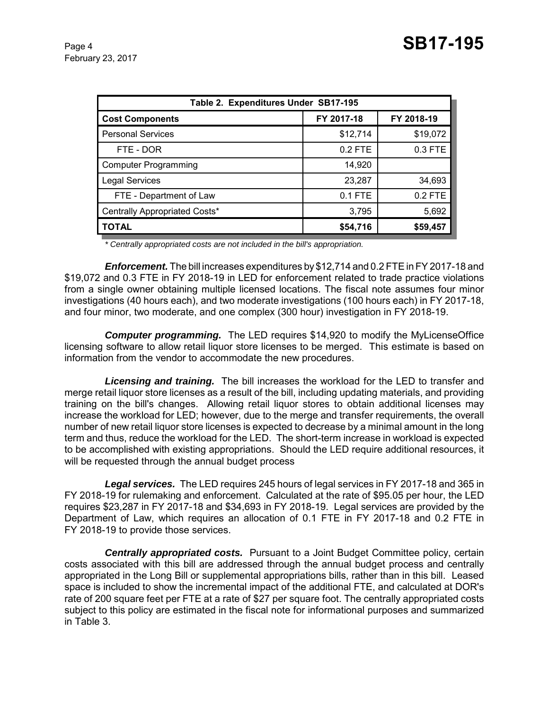| Table 2. Expenditures Under SB17-195 |            |            |  |
|--------------------------------------|------------|------------|--|
| <b>Cost Components</b>               | FY 2017-18 | FY 2018-19 |  |
| <b>Personal Services</b>             | \$12,714   | \$19,072   |  |
| FTE - DOR                            | $0.2$ FTE  | 0.3 FTE    |  |
| <b>Computer Programming</b>          | 14,920     |            |  |
| <b>Legal Services</b>                | 23,287     | 34,693     |  |
| FTE - Department of Law              | 0.1 FTE    | 0.2 FTE    |  |
| Centrally Appropriated Costs*        | 3,795      | 5,692      |  |
| <b>TOTAL</b>                         | \$54,716   | \$59,457   |  |

*\* Centrally appropriated costs are not included in the bill's appropriation.*

*Enforcement.* The bill increases expenditures by \$12,714 and 0.2 FTE in FY 2017-18 and \$19,072 and 0.3 FTE in FY 2018-19 in LED for enforcement related to trade practice violations from a single owner obtaining multiple licensed locations. The fiscal note assumes four minor investigations (40 hours each), and two moderate investigations (100 hours each) in FY 2017-18, and four minor, two moderate, and one complex (300 hour) investigation in FY 2018-19.

*Computer programming.*The LED requires \$14,920 to modify the MyLicenseOffice licensing software to allow retail liquor store licenses to be merged. This estimate is based on information from the vendor to accommodate the new procedures.

*Licensing and training.* The bill increases the workload for the LED to transfer and merge retail liquor store licenses as a result of the bill, including updating materials, and providing training on the bill's changes. Allowing retail liquor stores to obtain additional licenses may increase the workload for LED; however, due to the merge and transfer requirements, the overall number of new retail liquor store licenses is expected to decrease by a minimal amount in the long term and thus, reduce the workload for the LED. The short-term increase in workload is expected to be accomplished with existing appropriations. Should the LED require additional resources, it will be requested through the annual budget process

*Legal services.* The LED requires 245 hours of legal services in FY 2017-18 and 365 in FY 2018-19 for rulemaking and enforcement. Calculated at the rate of \$95.05 per hour, the LED requires \$23,287 in FY 2017-18 and \$34,693 in FY 2018-19. Legal services are provided by the Department of Law, which requires an allocation of 0.1 FTE in FY 2017-18 and 0.2 FTE in FY 2018-19 to provide those services.

*Centrally appropriated costs.* Pursuant to a Joint Budget Committee policy, certain costs associated with this bill are addressed through the annual budget process and centrally appropriated in the Long Bill or supplemental appropriations bills, rather than in this bill. Leased space is included to show the incremental impact of the additional FTE, and calculated at DOR's rate of 200 square feet per FTE at a rate of \$27 per square foot. The centrally appropriated costs subject to this policy are estimated in the fiscal note for informational purposes and summarized in Table 3.